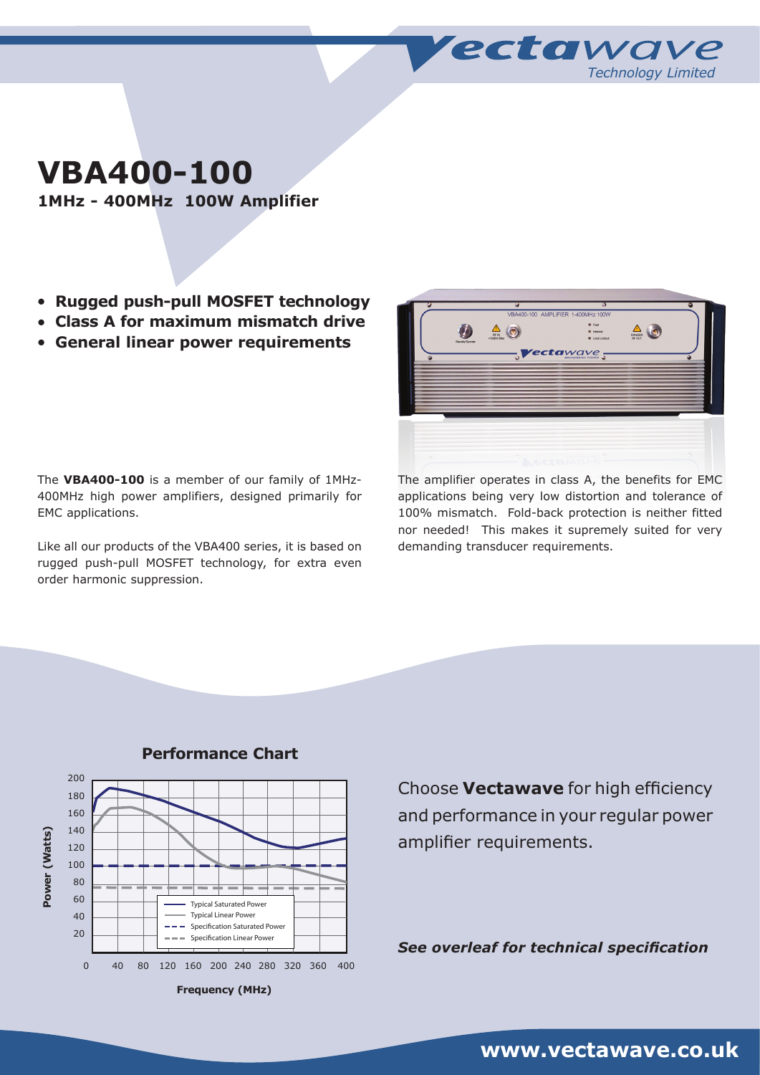**VBA400-100**

**1MHz - 400MHz 100W Amplifier**

- <sup>l</sup> **Rugged push-pull MOSFET technology**
- <sup>l</sup> **Class A for maximum mismatch drive**
- <sup>l</sup> **General linear power requirements**

The **VBA400-100** is a member of our family of 1MHz-400MHz high power amplifiers, designed primarily for EMC applications.

Like all our products of the VBA400 series, it is based on rugged push-pull MOSFET technology, for extra even order harmonic suppression.



*Technology Limited*

**recta**wave

The amplifier operates in class A, the benefits for EMC applications being very low distortion and tolerance of 100% mismatch. Fold-back protection is neither fitted nor needed! This makes it supremely suited for very demanding transducer requirements.



## **Performance Chart**

Choose **Vectawave** for high efficiency and performance in your regular power amplifier requirements.

*See overleaf for technical specification*

# **www.vectawave.co.uk**